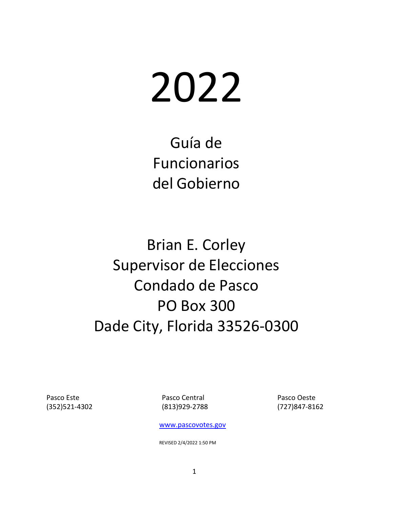# 2022

Guía de Funcionarios del Gobierno

Brian E. Corley Supervisor de Elecciones Condado de Pasco PO Box 300 Dade City, Florida 33526‐0300

Pasco Este **Pasco Central Pasco Central** Pasco Oeste (352)521‐4302 (813)929‐2788

(727)847‐8162

[www.pascovotes.gov](http://www.pascovotes.gov/)

REVISED 2/4/2022 1:50 PM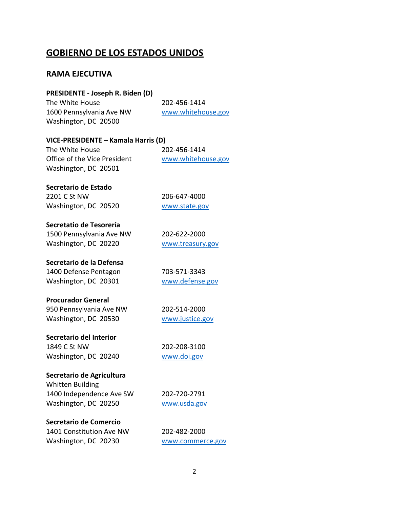# **GOBIERNO DE LOS ESTADOS UNIDOS**

# **RAMA EJECUTIVA**

| PRESIDENTE - Joseph R. Biden (D)    |                    |
|-------------------------------------|--------------------|
| The White House                     | 202-456-1414       |
| 1600 Pennsylvania Ave NW            | www.whitehouse.gov |
| Washington, DC 20500                |                    |
| VICE-PRESIDENTE – Kamala Harris (D) |                    |
| The White House                     | 202-456-1414       |
| Office of the Vice President        | www.whitehouse.gov |
| Washington, DC 20501                |                    |
| Secretario de Estado                |                    |
| 2201 C St NW                        | 206-647-4000       |
| Washington, DC 20520                | www.state.gov      |
| Secretatio de Tesorería             |                    |
| 1500 Pennsylvania Ave NW            | 202-622-2000       |
| Washington, DC 20220                | www.treasury.gov   |
| Secretario de la Defensa            |                    |
| 1400 Defense Pentagon               | 703-571-3343       |
| Washington, DC 20301                | www.defense.gov    |
| <b>Procurador General</b>           |                    |
| 950 Pennsylvania Ave NW             | 202-514-2000       |
| Washington, DC 20530                | www.justice.gov    |
| Secretario del Interior             |                    |
| 1849 C St NW                        | 202-208-3100       |
| Washington, DC 20240                | www.doi.gov        |
| Secretario de Agricultura           |                    |
| <b>Whitten Building</b>             |                    |
| 1400 Independence Ave SW            | 202-720-2791       |
| Washington, DC 20250                | www.usda.gov       |
| Secretario de Comercio              |                    |
| 1401 Constitution Ave NW            | 202-482-2000       |
| Washington, DC 20230                | www.commerce.gov   |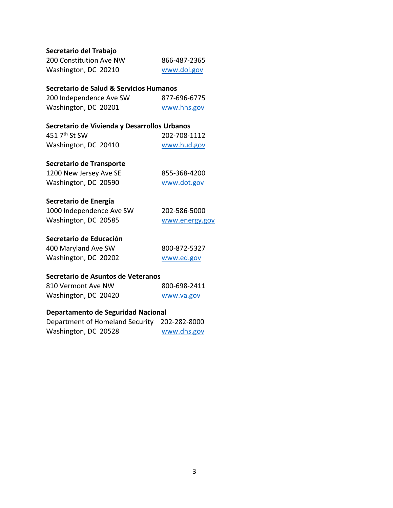| 200 Constitution Ave NW | 866-487-2365 |
|-------------------------|--------------|
| Washington, DC 20210    | www.dol.gov  |

### **Secretario de Salud & Servicios Humanos**

| 200 Independence Ave SW | 877-696-6775 |
|-------------------------|--------------|
| Washington, DC 20201    | www.hhs.gov  |

### **Secretario de Vivienda y Desarrollos Urbanos**

| 451 $7th$ St SW      | 202-708-1112 |
|----------------------|--------------|
| Washington, DC 20410 | www.hud.gov  |

### **Secretario de Transporte**

| 1200 New Jersey Ave SE | 855-368-4200 |
|------------------------|--------------|
| Washington, DC 20590   | www.dot.gov  |

### **Secretario de Energía**

| 1000 Independence Ave SW | 202-586-5000   |
|--------------------------|----------------|
| Washington, DC 20585     | www.energy.gov |

### **Secretario de Educación**

| 400 Maryland Ave SW  | 800-872-5327 |
|----------------------|--------------|
| Washington, DC 20202 | www.ed.gov   |

### **Secretario de Asuntos de Veteranos**

| 810 Vermont Ave NW   | 800-698-2411 |
|----------------------|--------------|
| Washington, DC 20420 | www.va.gov   |

### **Departamento de Seguridad Nacional**

| Department of Homeland Security 202-282-8000 |             |
|----------------------------------------------|-------------|
| Washington, DC 20528                         | www.dhs.gov |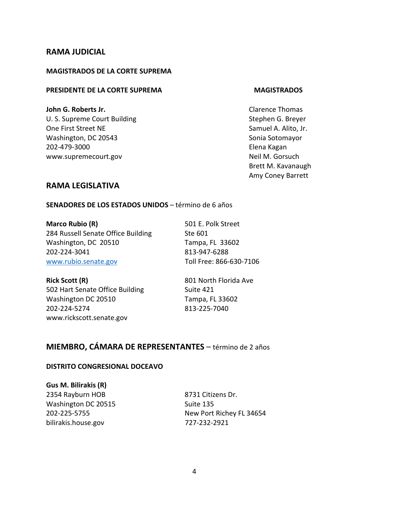### **RAMA JUDICIAL**

### **MAGISTRADOS DE LA CORTE SUPREMA**

### **PRESIDENTE DE LA CORTE SUPREMA MAGISTRADOS**

**John G. Roberts Jr. Discription Clarence Thomas** Clarence Thomas U. S. Supreme Court Building Court Example 3 and Stephen G. Breyer One First Street NE Samuel A. Alito, Jr. Washington, DC 20543 Sonia Sotomayor 202-479-3000 Elena Kagan www.supremecourt.gov Neil M. Gorsuch

Brett M. Kavanaugh Amy Coney Barrett

### **RAMA LEGISLATIVA**

**SENADORES DE LOS ESTADOS UNIDOS** – término de 6 años

**Marco Rubio (R)** 501 E. Polk Street 284 Russell Senate Office Building Ste 601 Washington, DC 20510 Tampa, FL 33602 202‐224‐3041 813‐947-6288 [www.rubio.senate.gov](http://www.rubio.senate.gov/) Toll Free: 866-630-7106

**Rick Scott (R)** 801 North Florida Ave 502 Hart Senate Office Building Suite 421 Washington DC 20510 Tampa, FL 33602 202‐224‐5274 813-225-7040 www.rickscott.senate.gov

# **MIEMBRO, CÁMARA DE REPRESENTANTES** – término de 2 años

### **DISTRITO CONGRESIONAL DOCEAVO**

**Gus M. Bilirakis (R)** 2354 Rayburn HOB 8731 Citizens Dr. Washington DC 20515 Suite 135 [bilirakis.house.gov](http://www.bilirakis.house.gov/) 727‐232‐2921

202‐225‐5755 New Port Richey FL 34654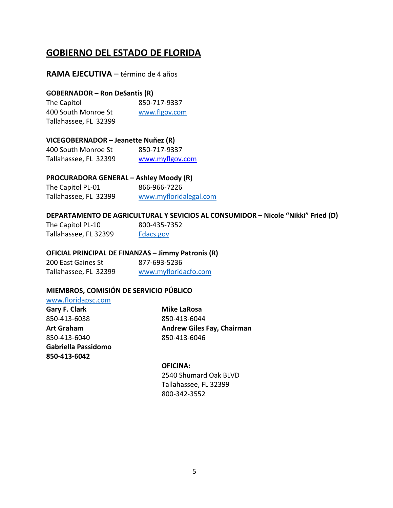# **GOBIERNO DEL ESTADO DE FLORIDA**

### **RAMA EJECUTIVA** – término de 4 años

### **GOBERNADOR – Ron DeSantis (R)**

The Capitol 850-717-9337 400 South Monroe St [www.flgov.com](http://www.flgov.com/) Tallahassee, FL 32399

### **VICEGOBERNADOR – Jeanette Nuñez (R)**

| 400 South Monroe St   | 850-717-9337    |
|-----------------------|-----------------|
| Tallahassee, FL 32399 | www.myflgov.com |

### **PROCURADORA GENERAL – Ashley Moody (R)**

| The Capitol PL-01     | 866-966-7226           |
|-----------------------|------------------------|
| Tallahassee, FL 32399 | www.myfloridalegal.com |

### **DEPARTAMENTO DE AGRICULTURAL Y SEVICIOS AL CONSUMIDOR – Nicole "Nikki" Fried (D)**

| The Capitol PL-10     | 800-435-7352 |
|-----------------------|--------------|
| Tallahassee, FL 32399 | Fdacs.gov    |

### **OFICIAL PRINCIPAL DE FINANZAS – Jimmy Patronis (R)**

200 East Gaines St 877-693-5236 Tallahassee, FL 32399 [www.myfloridacfo.com](http://www.myfloridacfo.com/)

### **MIEMBROS, COMISIÓN DE SERVICIO PÚBLICO**

### [www.floridapsc.com](http://www.floridapsc.com/)

**Gary F. Clark Mike LaRosa** 850‐413‐6038 850‐413‐6044 850‐413‐6040 850‐413‐6046 **Gabriella Passidomo 850-413-6042**

**Art Graham Andrew Giles Fay, Chairman**

### **OFICINA:**

2540 Shumard Oak BLVD Tallahassee, FL 32399 800‐342‐3552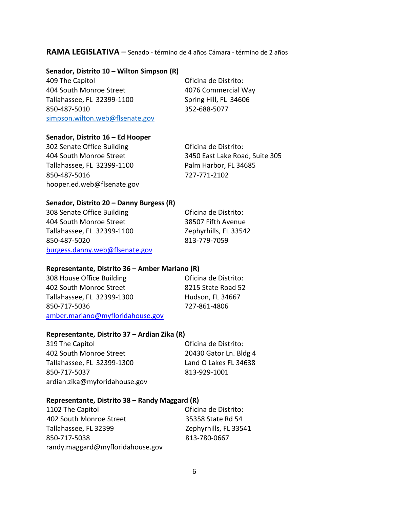### **RAMA LEGISLATIVA** – Senado ‐ término de 4 años Cámara ‐ término de 2 años

### **Senador, Distrito 10 – Wilton Simpson (R)**

409 The Capitol **Access 10 Contract Contract Contract Contract Contract Contract Contract Contract Contract Contract Contract Contract Contract Contract Contract Contract Contract Contract Contract Contract Contract Contra** 404 South Monroe Street 4076 Commercial Way Tallahassee, FL 32399‐1100 Spring Hill, FL 34606 850‐487‐5010 352‐688-5077 [simpson.wilton.web@flsenate.gov](mailto:simpson.wilton.web@flsenate.gov)

### **Senador, Distrito 16 – Ed Hooper**

302 Senate Office Building **Constructs** Oficina de Distrito: Tallahassee, FL 32399‐1100 Palm Harbor, FL 34685 850‐487‐5016 727-771-2102 hooper.ed.web@flsenate.gov

404 South Monroe Street 3450 East Lake Road, Suite 305

### **Senador, Distrito 20 – Danny Burgess (R)**

308 Senate Office Building **Constructs** Oficina de Distrito: 404 South Monroe Street 38507 Fifth Avenue Tallahassee, FL 32399‐1100 Zephyrhills, FL 33542 850‐487‐5020 813-779-7059 [burgess.danny.web@flsenate.gov](mailto:burgess.danny.web@flsenate.gov)

### **Representante, Distrito 36 – Amber Mariano (R)**

| 308 House Office Building        | Oficina de Distrito: |
|----------------------------------|----------------------|
| 402 South Monroe Street          | 8215 State Road 52   |
| Tallahassee, FL 32399-1300       | Hudson, FL 34667     |
| 850-717-5036                     | 727-861-4806         |
| amber.mariano@myfloridahouse.gov |                      |

### **Representante, Distrito 37 – Ardian Zika (R)**

319 The Capitol Oficina de Distrito: 402 South Monroe Street 20430 Gator Ln. Bldg 4 Tallahassee, FL 32399‐1300 Land O Lakes FL 34638 850‐717‐5037 813-929-1001 ardian.zika@myforidahouse.gov

### **Representante, Distrito 38 – Randy Maggard (R)**

| 1102 The Capitol                 | Oficina de Distrito:  |
|----------------------------------|-----------------------|
| 402 South Monroe Street          | 35358 State Rd 54     |
| Tallahassee, FL 32399            | Zephyrhills, FL 33541 |
| 850-717-5038                     | 813-780-0667          |
| randy.maggard@myfloridahouse.gov |                       |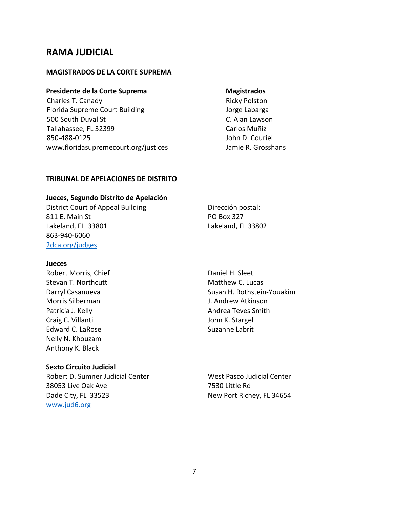# **RAMA JUDICIAL**

### **MAGISTRADOS DE LA CORTE SUPREMA**

### **Presidente de la Corte Suprema Magistrados**

Charles T. Canady **Ricky Polston** Florida Supreme Court Building The Court of Labarga 500 South Duval St C. Alan Lawson Tallahassee, FL 32399 Carlos Muñiz 850-488-0125 John D. Couriel [www.floridasupremecourt.org/justices](http://www.floridasupremecourt.org/justices) Jamie R. Grosshans

### **TRIBUNAL DE APELACIONES DE DISTRITO**

### **Jueces, Segundo Distrito de Apelación**

District Court of Appeal Building **Dirección postal:** 811 E. Main St PO Box 327 Lakeland, FL 33801 Lakeland, FL 33802 863‐940-6060 [2dca.org/](http://www.2dca.org/)judges

### **Jueces**

Robert Morris, Chief **Daniel H. Sleet** Daniel H. Sleet Stevan T. Northcutt **Matthew C. Lucas** Matthew C. Lucas Morris Silberman J. Andrew Atkinson Patricia J. Kelly **Andrea Teves Smith** Craig C. Villanti **Craig C. Villanti** John K. Stargel Edward C. LaRose Suzanne Labrit Nelly N. Khouzam Anthony K. Black

### **Sexto Circuito Judicial**

Robert D. Sumner Judicial Center West Pasco Judicial Center 38053 Live Oak Ave 7530 Little Rd Dade City, FL 33523 New Port Richey, FL 34654 [www.jud6.org](http://www.jud6.org/)

Darryl Casanueva Susan H. Rothstein-Youakim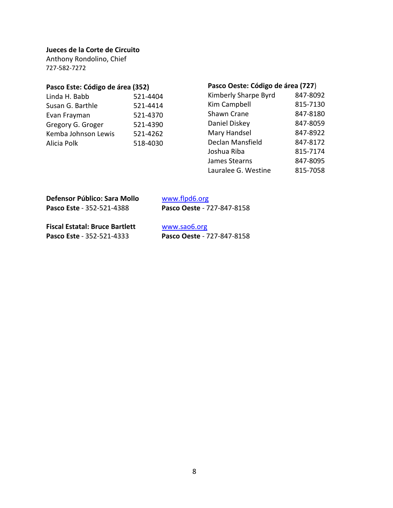### **Jueces de la Corte de Circuito**

Anthony Rondolino, Chief 727-582-7272

# **Pasco Este: Código de área (352)**

| 521-4404 |
|----------|
| 521-4414 |
| 521-4370 |
| 521-4390 |
| 521-4262 |
| 518-4030 |
|          |

# **Pasco Oeste: Código de área (727**)

| Kimberly Sharpe Byrd | 847-8092 |
|----------------------|----------|
| <b>Kim Campbell</b>  | 815-7130 |
| Shawn Crane          | 847-8180 |
| Daniel Diskey        | 847-8059 |
| Mary Handsel         | 847-8922 |
| Declan Mansfield     | 847-8172 |
| Joshua Riba          | 815-7174 |
| James Stearns        | 847-8095 |
| Lauralee G. Westine  | 815-7058 |

| Defensor Público: Sara Mollo          | www.flpd6.org              |  |
|---------------------------------------|----------------------------|--|
| Pasco Este - 352-521-4388             | Pasco Oeste - 727-847-8158 |  |
| <b>Fiscal Estatal: Bruce Bartlett</b> | www.sao6.org               |  |
| Pasco Este - 352-521-4333             | Pasco Oeste - 727-847-8158 |  |
|                                       |                            |  |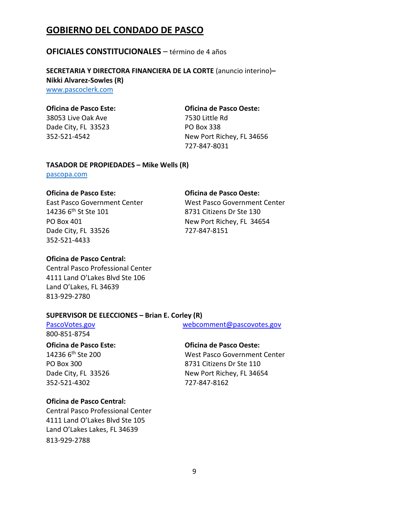# **GOBIERNO DEL CONDADO DE PASCO**

### **OFICIALES CONSTITUCIONALES** – término de 4 años

**SECRETARIA Y DIRECTORA FINANCIERA DE LA CORTE** (anuncio interino)**– Nikki Alvarez‐Sowles (R)** [www.pascoclerk.com](http://www.pascoclerk.com/)

### **Oficina de Pasco Este: Oficina de Pasco Oeste:**

38053 Live Oak Ave 7530 Little Rd Dade City, FL 33523 PO Box 338

352‐521‐4542 New Port Richey, FL 34656 727‐847‐8031

### **TASADOR DE PROPIEDADES – Mike Wells (R)**

[pascopa.com](http://www.appraiser.pascogov.com/)

### **Oficina de Pasco Este: Oficina de Pasco Oeste:**

14236 6th St Ste 101 8731 Citizens Dr Ste 130 PO Box 401 New Port Richey, FL 34654 Dade City, FL 33526 727-847-8151 352‐521‐4433

East Pasco Government Center West Pasco Government Center

### **Oficina de Pasco Central:**

Central Pasco Professional Center 4111 Land O'Lakes Blvd Ste 106 Land O'Lakes, FL 34639 813‐929‐2780

### **SUPERVISOR DE ELECCIONES – Brian E. Corley (R)**

[PascoVotes.gov](mailto:PascoVotes.gov) [webcomment@pascovotes.gov](mailto:webcomment@pascovotes.gov) 800-851-8754

### **Oficina de Pasco Este: Oficina de Pasco Oeste:**

352‐521‐4302 727‐847‐8162

14236 6th Ste 200 West Pasco Government Center PO Box 300 8731 Citizens Dr Ste 110 Dade City, FL 33526 New Port Richey, FL 34654

### **Oficina de Pasco Central:**

Central Pasco Professional Center 4111 Land O'Lakes Blvd Ste 105 Land O'Lakes Lakes, FL 34639 813‐929‐2788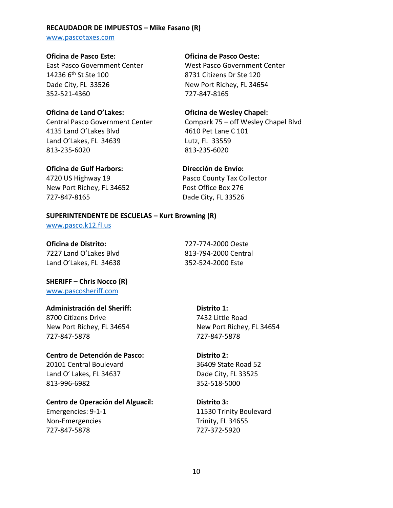### **RECAUDADOR DE IMPUESTOS – Mike Fasano (R)**

[www.pascotaxes.com](http://www.pascotaxes.com/)

### **Oficina de Pasco Este: Oficina de Pasco Oeste:**

14236 6th St Ste 100 8731 Citizens Dr Ste 120 Dade City, FL 33526 New Port Richey, FL 34654 352‐521‐4360 727-847-8165

4135 Land O'Lakes Blvd 4610 Pet Lane C 101 Land O'Lakes, FL 34639 Lutz, FL 33559 813‐235‐6020 813‐235‐6020

### **Oficina de Gulf Harbors: Dirección de Envío:**

4720 US Highway 19 Pasco County Tax Collector New Port Richey, FL 34652 Post Office Box 276 727‐847‐8165 Dade City, FL 33526

East Pasco Government Center West Pasco Government Center

### **Oficina de Land O'Lakes: Oficina de Wesley Chapel:**

Central Pasco Government Center Compark 75 – off Wesley Chapel Blvd

### **SUPERINTENDENTE DE ESCUELAS – Kurt Browning (R)**

[www.pasco.k12.fl.us](http://www.pasco.k12.fl.us/)

**Oficina de Distrito:** 727‐774‐2000 Oeste 7227 Land O'Lakes Blvd 813-794-2000 Central Land O'Lakes, FL 34638 352‐524‐2000 Este

**SHERIFF – Chris Nocco (R)** [www.pascosheriff.com](http://www.pascosheriff.com/)

### **Administración del Sheriff:**

8700 Citizens Drive New Port Richey, FL 34654 727-847-5878

### **Centro de Detención de Pasco:**

20101 Central Boulevard Land O' Lakes, FL 34637 813-996-6982

### **Centro de Operación del Alguacil:**

Emergencies: 9-1-1 Non-Emergencies 727-847-5878

**Distrito 1:** 7432 Little Road New Port Richey, FL 34654 727-847-5878

### **Distrito 2:**

36409 State Road 52 Dade City, FL 33525 352-518-5000

### **Distrito 3:**

11530 Trinity Boulevard Trinity, FL 34655 727-372-5920